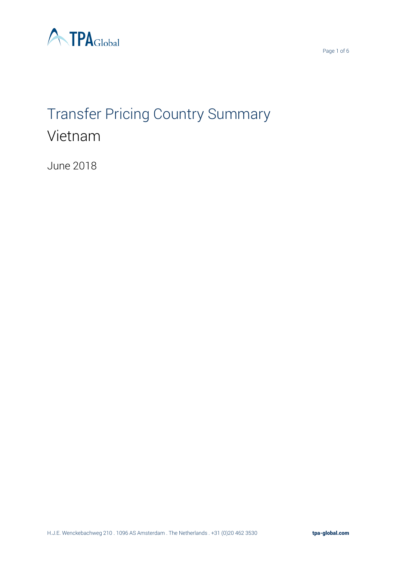

# Transfer Pricing Country Summary Vietnam

June 2018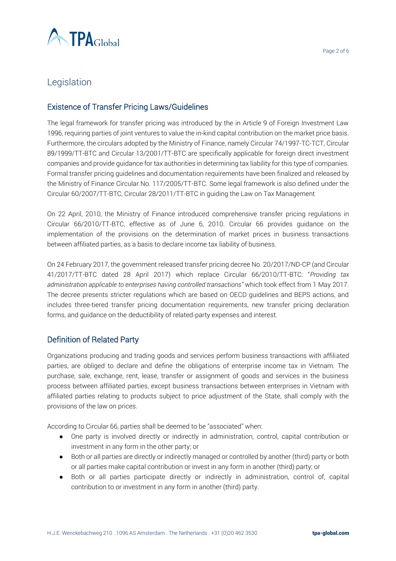

# Legislation

## Existence of Transfer Pricing Laws/Guidelines

The legal framework for transfer pricing was introduced by the in Article 9 of Foreign Investment Law 1996, requiring parties of joint ventures to value the in-kind capital contribution on the market price basis. Furthermore, the circulars adopted by the Ministry of Finance, namely Circular 74/1997-TC-TCT, Circular 89/1999/TT-BTC and Circular 13/2001/TT-BTC are specifically applicable for foreign direct investment companies and provide guidance for tax authorities in determining tax liability for this type of companies. Formal transfer pricing guidelines and documentation requirements have been finalized and released by the Ministry of Finance Circular No. 117/2005/TT-BTC. Some legal framework is also defined under the Circular 60/2007/TT-BTC, Circular 28/2011/TT-BTC in guiding the Law on Tax Management

On 22 April, 2010, the Ministry of Finance introduced comprehensive transfer pricing regulations in Circular 66/2010/TT-BTC, effective as of June 6, 2010. Circular 66 provides guidance on the implementation of the provisions on the determination of market prices in business transactions between affiliated parties, as a basis to declare income tax liability of business.

On 24 February 2017, the government released transfer pricing decree No. 20/2017/ND-CP (and Circular 41/2017/TT-BTC dated 28 April 2017) which replace Circular 66/2010/TT-BTC: "*Providing tax administration applicable to enterprises having controlled transactions"* which took effect from 1 May 2017. The decree presents stricter regulations which are based on OECD guidelines and BEPS actions, and includes three-tiered transfer pricing documentation requirements, new transfer pricing declaration forms, and guidance on the deductibility of related-party expenses and interest.

## Definition of Related Party

Organizations producing and trading goods and services perform business transactions with affiliated parties, are obliged to declare and define the obligations of enterprise income tax in Vietnam. The purchase, sale, exchange, rent, lease, transfer or assignment of goods and services in the business process between affiliated parties, except business transactions between enterprises in Vietnam with affiliated parties relating to products subject to price adjustment of the State, shall comply with the provisions of the law on prices.

According to Circular 66, parties shall be deemed to be "associated" when:

- One party is involved directly or indirectly in administration, control, capital contribution or investment in any form in the other party; or
- Both or all parties are directly or indirectly managed or controlled by another (third) party or both or all parties make capital contribution or invest in any form in another (third) party; or
- Both or all parties participate directly or indirectly in administration, control of, capital contribution to or investment in any form in another (third) party.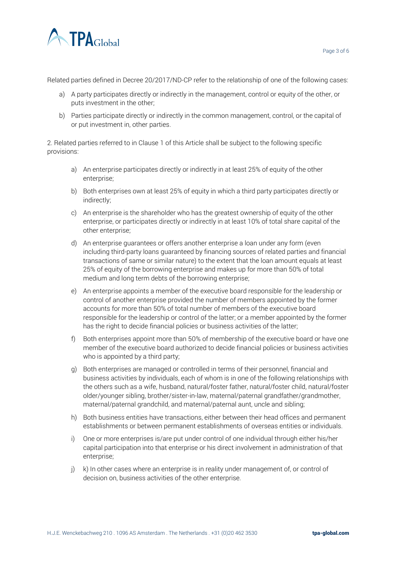



Related parties defined in Decree 20/2017/ND-CP refer to the relationship of one of the following cases:

- a) A party participates directly or indirectly in the management, control or equity of the other, or puts investment in the other;
- b) Parties participate directly or indirectly in the common management, control, or the capital of or put investment in, other parties.

2. Related parties referred to in Clause 1 of this Article shall be subject to the following specific provisions:

- a) An enterprise participates directly or indirectly in at least 25% of equity of the other enterprise;
- b) Both enterprises own at least 25% of equity in which a third party participates directly or indirectly;
- c) An enterprise is the shareholder who has the greatest ownership of equity of the other enterprise, or participates directly or indirectly in at least 10% of total share capital of the other enterprise;
- d) An enterprise guarantees or offers another enterprise a loan under any form (even including third-party loans guaranteed by financing sources of related parties and financial transactions of same or similar nature) to the extent that the loan amount equals at least 25% of equity of the borrowing enterprise and makes up for more than 50% of total medium and long term debts of the borrowing enterprise;
- e) An enterprise appoints a member of the executive board responsible for the leadership or control of another enterprise provided the number of members appointed by the former accounts for more than 50% of total number of members of the executive board responsible for the leadership or control of the latter; or a member appointed by the former has the right to decide financial policies or business activities of the latter;
- f) Both enterprises appoint more than 50% of membership of the executive board or have one member of the executive board authorized to decide financial policies or business activities who is appointed by a third party;
- g) Both enterprises are managed or controlled in terms of their personnel, financial and business activities by individuals, each of whom is in one of the following relationships with the others such as a wife, husband, natural/foster father, natural/foster child, natural/foster older/younger sibling, brother/sister-in-law, maternal/paternal grandfather/grandmother, maternal/paternal grandchild, and maternal/paternal aunt, uncle and sibling;
- h) Both business entities have transactions, either between their head offices and permanent establishments or between permanent establishments of overseas entities or individuals.
- i) One or more enterprises is/are put under control of one individual through either his/her capital participation into that enterprise or his direct involvement in administration of that enterprise;
- $j$  k) In other cases where an enterprise is in reality under management of, or control of decision on, business activities of the other enterprise.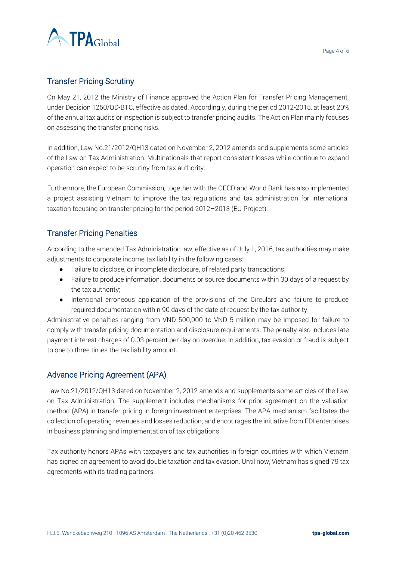

## Transfer Pricing Scrutiny

On May 21, 2012 the Ministry of Finance approved the Action Plan for Transfer Pricing Management, under Decision 1250/QD-BTC, effective as dated. Accordingly, during the period 2012-2015, at least 20% of the annual tax audits or inspection is subject to transfer pricing audits. The Action Plan mainly focuses on assessing the transfer pricing risks.

In addition, Law No.21/2012/QH13 dated on November 2, 2012 amends and supplements some articles of the Law on Tax Administration. Multinationals that report consistent losses while continue to expand operation can expect to be scrutiny from tax authority.

Furthermore, the European Commission, together with the OECD and World Bank has also implemented a project assisting Vietnam to improve the tax regulations and tax administration for international taxation focusing on transfer pricing for the period 2012–2013 (EU Project).

## Transfer Pricing Penalties

According to the amended Tax Administration law, effective as of July 1, 2016, tax authorities may make adjustments to corporate income tax liability in the following cases:

- Failure to disclose, or incomplete disclosure, of related party transactions;
- Failure to produce information, documents or source documents within 30 days of a request by the tax authority;
- Intentional erroneous application of the provisions of the Circulars and failure to produce required documentation within 90 days of the date of request by the tax authority.

Administrative penalties ranging from VND 500,000 to VND 5 million may be imposed for failure to comply with transfer pricing documentation and disclosure requirements. The penalty also includes late payment interest charges of 0.03 percent per day on overdue. In addition, tax evasion or fraud is subject to one to three times the tax liability amount.

## Advance Pricing Agreement (APA)

Law No.21/2012/QH13 dated on November 2, 2012 amends and supplements some articles of the Law on Tax Administration. The supplement includes mechanisms for prior agreement on the valuation method (APA) in transfer pricing in foreign investment enterprises. The APA mechanism facilitates the collection of operating revenues and losses reduction; and encourages the initiative from FDI enterprises in business planning and implementation of tax obligations.

Tax authority honors APAs with taxpayers and tax authorities in foreign countries with which Vietnam has signed an agreement to avoid double taxation and tax evasion. Until now, Vietnam has signed 79 tax agreements with its trading partners.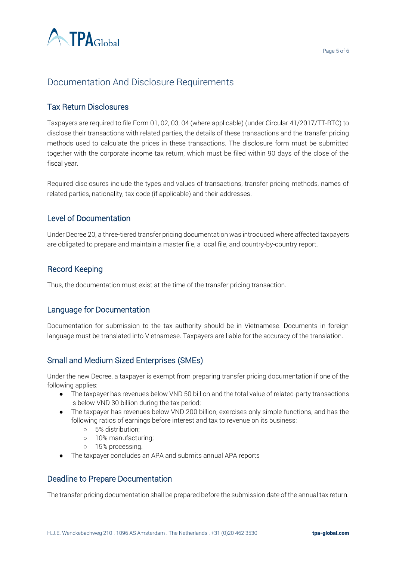

# Documentation And Disclosure Requirements

#### Tax Return Disclosures

Taxpayers are required to file Form 01, 02, 03, 04 (where applicable) (under Circular 41/2017/TT-BTC) to disclose their transactions with related parties, the details of these transactions and the transfer pricing methods used to calculate the prices in these transactions. The disclosure form must be submitted together with the corporate income tax return, which must be filed within 90 days of the close of the fiscal year.

Required disclosures include the types and values of transactions, transfer pricing methods, names of related parties, nationality, tax code (if applicable) and their addresses.

#### Level of Documentation

Under Decree 20, a three-tiered transfer pricing documentation was introduced where affected taxpayers are obligated to prepare and maintain a master file, a local file, and country-by-country report.

#### Record Keeping

Thus, the documentation must exist at the time of the transfer pricing transaction.

#### Language for Documentation

Documentation for submission to the tax authority should be in Vietnamese. Documents in foreign language must be translated into Vietnamese. Taxpayers are liable for the accuracy of the translation.

#### Small and Medium Sized Enterprises (SMEs)

Under the new Decree, a taxpayer is exempt from preparing transfer pricing documentation if one of the following applies:

- The taxpayer has revenues below VND 50 billion and the total value of related-party transactions is below VND 30 billion during the tax period;
- The taxpayer has revenues below VND 200 billion, exercises only simple functions, and has the following ratios of earnings before interest and tax to revenue on its business:
	- 5% distribution;
	- 10% manufacturing;
	- 15% processing.
- The taxpayer concludes an APA and submits annual APA reports

#### Deadline to Prepare Documentation

The transfer pricing documentation shall be prepared before the submission date of the annual tax return.